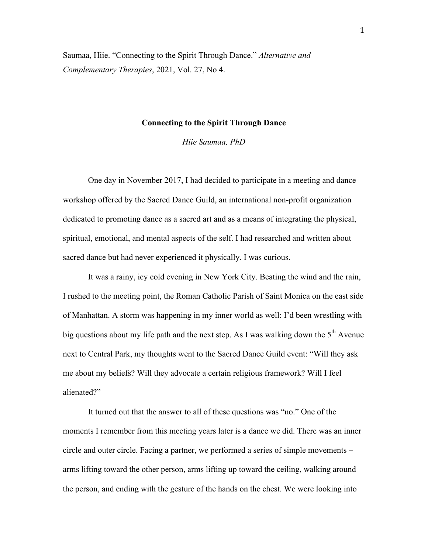Saumaa, Hiie. "Connecting to the Spirit Through Dance." *Alternative and Complementary Therapies*, 2021, Vol. 27, No 4.

# **Connecting to the Spirit Through Dance**

*Hiie Saumaa, PhD*

One day in November 2017, I had decided to participate in a meeting and dance workshop offered by the Sacred Dance Guild, an international non-profit organization dedicated to promoting dance as a sacred art and as a means of integrating the physical, spiritual, emotional, and mental aspects of the self. I had researched and written about sacred dance but had never experienced it physically. I was curious.

It was a rainy, icy cold evening in New York City. Beating the wind and the rain, I rushed to the meeting point, the Roman Catholic Parish of Saint Monica on the east side of Manhattan. A storm was happening in my inner world as well: I'd been wrestling with big questions about my life path and the next step. As I was walking down the  $5<sup>th</sup>$  Avenue next to Central Park, my thoughts went to the Sacred Dance Guild event: "Will they ask me about my beliefs? Will they advocate a certain religious framework? Will I feel alienated?"

It turned out that the answer to all of these questions was "no." One of the moments I remember from this meeting years later is a dance we did. There was an inner circle and outer circle. Facing a partner, we performed a series of simple movements – arms lifting toward the other person, arms lifting up toward the ceiling, walking around the person, and ending with the gesture of the hands on the chest. We were looking into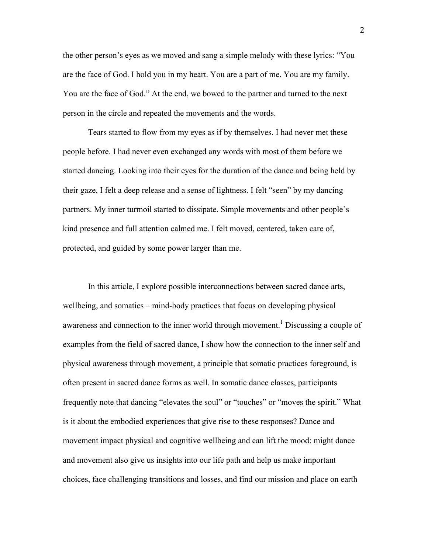the other person's eyes as we moved and sang a simple melody with these lyrics: "You are the face of God. I hold you in my heart. You are a part of me. You are my family. You are the face of God." At the end, we bowed to the partner and turned to the next person in the circle and repeated the movements and the words.

Tears started to flow from my eyes as if by themselves. I had never met these people before. I had never even exchanged any words with most of them before we started dancing. Looking into their eyes for the duration of the dance and being held by their gaze, I felt a deep release and a sense of lightness. I felt "seen" by my dancing partners. My inner turmoil started to dissipate. Simple movements and other people's kind presence and full attention calmed me. I felt moved, centered, taken care of, protected, and guided by some power larger than me.

In this article, I explore possible interconnections between sacred dance arts, wellbeing, and somatics – mind-body practices that focus on developing physical awareness and connection to the inner world through movement.<sup>1</sup> Discussing a couple of examples from the field of sacred dance, I show how the connection to the inner self and physical awareness through movement, a principle that somatic practices foreground, is often present in sacred dance forms as well. In somatic dance classes, participants frequently note that dancing "elevates the soul" or "touches" or "moves the spirit." What is it about the embodied experiences that give rise to these responses? Dance and movement impact physical and cognitive wellbeing and can lift the mood: might dance and movement also give us insights into our life path and help us make important choices, face challenging transitions and losses, and find our mission and place on earth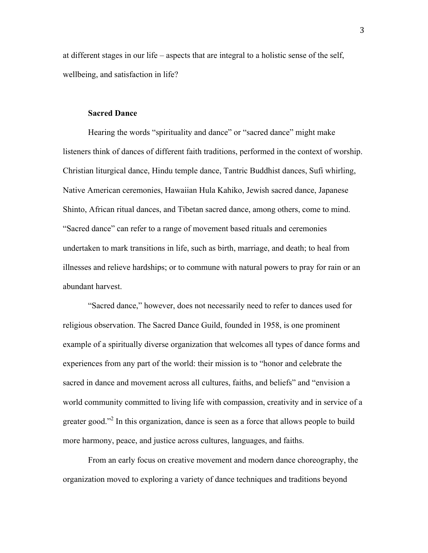at different stages in our life – aspects that are integral to a holistic sense of the self, wellbeing, and satisfaction in life?

## **Sacred Dance**

Hearing the words "spirituality and dance" or "sacred dance" might make listeners think of dances of different faith traditions, performed in the context of worship. Christian liturgical dance, Hindu temple dance, Tantric Buddhist dances, Sufi whirling, Native American ceremonies, Hawaiian Hula Kahiko, Jewish sacred dance, Japanese Shinto, African ritual dances, and Tibetan sacred dance, among others, come to mind. "Sacred dance" can refer to a range of movement based rituals and ceremonies undertaken to mark transitions in life, such as birth, marriage, and death; to heal from illnesses and relieve hardships; or to commune with natural powers to pray for rain or an abundant harvest.

"Sacred dance," however, does not necessarily need to refer to dances used for religious observation. The Sacred Dance Guild, founded in 1958, is one prominent example of a spiritually diverse organization that welcomes all types of dance forms and experiences from any part of the world: their mission is to "honor and celebrate the sacred in dance and movement across all cultures, faiths, and beliefs" and "envision a world community committed to living life with compassion, creativity and in service of a greater good."<sup>2</sup> In this organization, dance is seen as a force that allows people to build more harmony, peace, and justice across cultures, languages, and faiths.

From an early focus on creative movement and modern dance choreography, the organization moved to exploring a variety of dance techniques and traditions beyond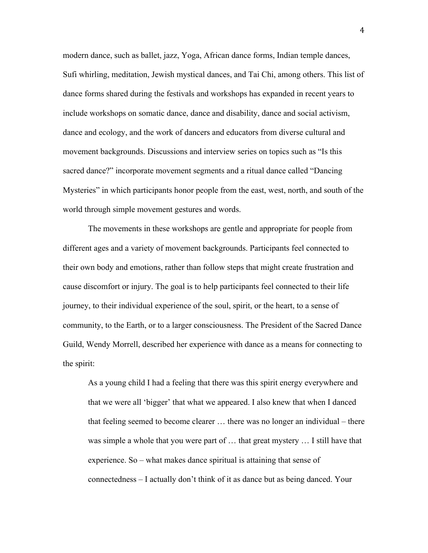modern dance, such as ballet, jazz, Yoga, African dance forms, Indian temple dances, Sufi whirling, meditation, Jewish mystical dances, and Tai Chi, among others. This list of dance forms shared during the festivals and workshops has expanded in recent years to include workshops on somatic dance, dance and disability, dance and social activism, dance and ecology, and the work of dancers and educators from diverse cultural and movement backgrounds. Discussions and interview series on topics such as "Is this sacred dance?" incorporate movement segments and a ritual dance called "Dancing Mysteries" in which participants honor people from the east, west, north, and south of the world through simple movement gestures and words.

The movements in these workshops are gentle and appropriate for people from different ages and a variety of movement backgrounds. Participants feel connected to their own body and emotions, rather than follow steps that might create frustration and cause discomfort or injury. The goal is to help participants feel connected to their life journey, to their individual experience of the soul, spirit, or the heart, to a sense of community, to the Earth, or to a larger consciousness. The President of the Sacred Dance Guild, Wendy Morrell, described her experience with dance as a means for connecting to the spirit:

As a young child I had a feeling that there was this spirit energy everywhere and that we were all 'bigger' that what we appeared. I also knew that when I danced that feeling seemed to become clearer … there was no longer an individual – there was simple a whole that you were part of … that great mystery … I still have that experience. So – what makes dance spiritual is attaining that sense of connectedness – I actually don't think of it as dance but as being danced. Your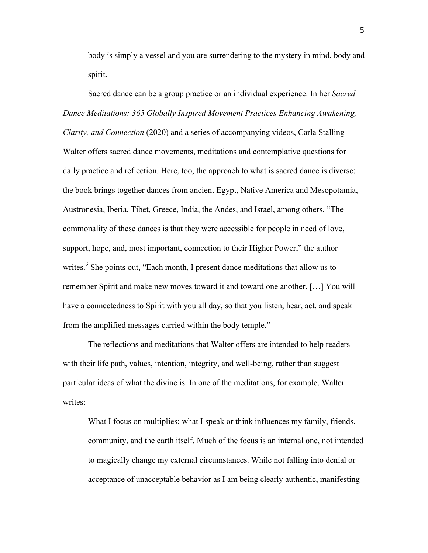body is simply a vessel and you are surrendering to the mystery in mind, body and spirit.

Sacred dance can be a group practice or an individual experience. In her *Sacred Dance Meditations: 365 Globally Inspired Movement Practices Enhancing Awakening, Clarity, and Connection* (2020) and a series of accompanying videos, Carla Stalling Walter offers sacred dance movements, meditations and contemplative questions for daily practice and reflection. Here, too, the approach to what is sacred dance is diverse: the book brings together dances from ancient Egypt, Native America and Mesopotamia, Austronesia, Iberia, Tibet, Greece, India, the Andes, and Israel, among others. "The commonality of these dances is that they were accessible for people in need of love, support, hope, and, most important, connection to their Higher Power," the author writes.<sup>3</sup> She points out, "Each month, I present dance meditations that allow us to remember Spirit and make new moves toward it and toward one another. […] You will have a connectedness to Spirit with you all day, so that you listen, hear, act, and speak from the amplified messages carried within the body temple."

The reflections and meditations that Walter offers are intended to help readers with their life path, values, intention, integrity, and well-being, rather than suggest particular ideas of what the divine is. In one of the meditations, for example, Walter writes:

What I focus on multiplies; what I speak or think influences my family, friends, community, and the earth itself. Much of the focus is an internal one, not intended to magically change my external circumstances. While not falling into denial or acceptance of unacceptable behavior as I am being clearly authentic, manifesting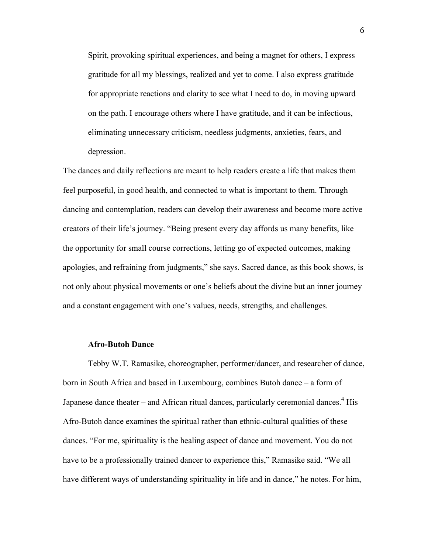Spirit, provoking spiritual experiences, and being a magnet for others, I express gratitude for all my blessings, realized and yet to come. I also express gratitude for appropriate reactions and clarity to see what I need to do, in moving upward on the path. I encourage others where I have gratitude, and it can be infectious, eliminating unnecessary criticism, needless judgments, anxieties, fears, and depression.

The dances and daily reflections are meant to help readers create a life that makes them feel purposeful, in good health, and connected to what is important to them. Through dancing and contemplation, readers can develop their awareness and become more active creators of their life's journey. "Being present every day affords us many benefits, like the opportunity for small course corrections, letting go of expected outcomes, making apologies, and refraining from judgments," she says. Sacred dance, as this book shows, is not only about physical movements or one's beliefs about the divine but an inner journey and a constant engagement with one's values, needs, strengths, and challenges.

#### **Afro-Butoh Dance**

Tebby W.T. Ramasike, choreographer, performer/dancer, and researcher of dance, born in South Africa and based in Luxembourg, combines Butoh dance – a form of Japanese dance theater – and African ritual dances, particularly ceremonial dances.<sup>4</sup> His Afro-Butoh dance examines the spiritual rather than ethnic-cultural qualities of these dances. "For me, spirituality is the healing aspect of dance and movement. You do not have to be a professionally trained dancer to experience this," Ramasike said. "We all have different ways of understanding spirituality in life and in dance," he notes. For him,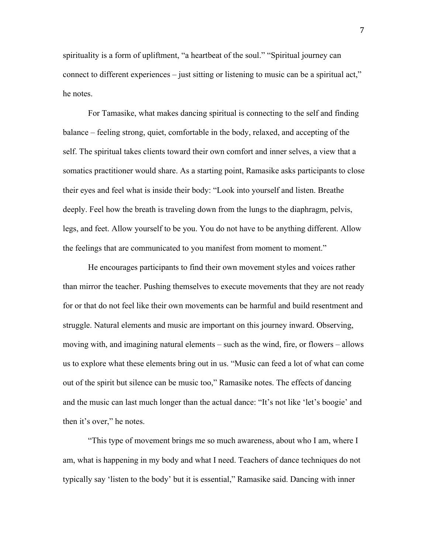spirituality is a form of upliftment, "a heartbeat of the soul." "Spiritual journey can connect to different experiences – just sitting or listening to music can be a spiritual act," he notes.

For Tamasike, what makes dancing spiritual is connecting to the self and finding balance – feeling strong, quiet, comfortable in the body, relaxed, and accepting of the self. The spiritual takes clients toward their own comfort and inner selves, a view that a somatics practitioner would share. As a starting point, Ramasike asks participants to close their eyes and feel what is inside their body: "Look into yourself and listen. Breathe deeply. Feel how the breath is traveling down from the lungs to the diaphragm, pelvis, legs, and feet. Allow yourself to be you. You do not have to be anything different. Allow the feelings that are communicated to you manifest from moment to moment."

He encourages participants to find their own movement styles and voices rather than mirror the teacher. Pushing themselves to execute movements that they are not ready for or that do not feel like their own movements can be harmful and build resentment and struggle. Natural elements and music are important on this journey inward. Observing, moving with, and imagining natural elements – such as the wind, fire, or flowers – allows us to explore what these elements bring out in us. "Music can feed a lot of what can come out of the spirit but silence can be music too," Ramasike notes. The effects of dancing and the music can last much longer than the actual dance: "It's not like 'let's boogie' and then it's over," he notes.

"This type of movement brings me so much awareness, about who I am, where I am, what is happening in my body and what I need. Teachers of dance techniques do not typically say 'listen to the body' but it is essential," Ramasike said. Dancing with inner

7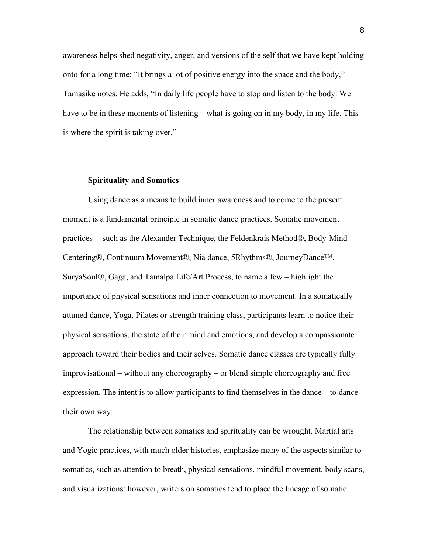awareness helps shed negativity, anger, and versions of the self that we have kept holding onto for a long time: "It brings a lot of positive energy into the space and the body," Tamasike notes. He adds, "In daily life people have to stop and listen to the body. We have to be in these moments of listening – what is going on in my body, in my life. This is where the spirit is taking over."

## **Spirituality and Somatics**

Using dance as a means to build inner awareness and to come to the present moment is a fundamental principle in somatic dance practices. Somatic movement practices -- such as the Alexander Technique, the Feldenkrais Method®, Body-Mind Centering®, Continuum Movement®, Nia dance, 5Rhythms®, JourneyDance™, SuryaSoul®, Gaga, and Tamalpa Life/Art Process, to name a few – highlight the importance of physical sensations and inner connection to movement. In a somatically attuned dance, Yoga, Pilates or strength training class, participants learn to notice their physical sensations, the state of their mind and emotions, and develop a compassionate approach toward their bodies and their selves. Somatic dance classes are typically fully improvisational – without any choreography – or blend simple choreography and free expression. The intent is to allow participants to find themselves in the dance – to dance their own way.

The relationship between somatics and spirituality can be wrought. Martial arts and Yogic practices, with much older histories, emphasize many of the aspects similar to somatics, such as attention to breath, physical sensations, mindful movement, body scans, and visualizations: however, writers on somatics tend to place the lineage of somatic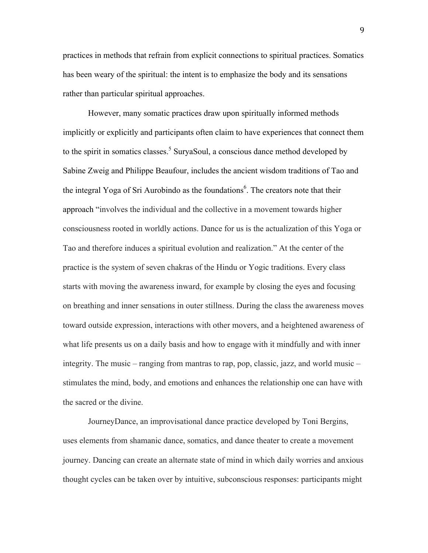practices in methods that refrain from explicit connections to spiritual practices. Somatics has been weary of the spiritual: the intent is to emphasize the body and its sensations rather than particular spiritual approaches.

However, many somatic practices draw upon spiritually informed methods implicitly or explicitly and participants often claim to have experiences that connect them to the spirit in somatics classes.<sup>5</sup> SuryaSoul, a conscious dance method developed by Sabine Zweig and Philippe Beaufour, includes the ancient wisdom traditions of Tao and the integral Yoga of Sri Aurobindo as the foundations<sup>6</sup>. The creators note that their approach "involves the individual and the collective in a movement towards higher consciousness rooted in worldly actions. Dance for us is the actualization of this Yoga or Tao and therefore induces a spiritual evolution and realization." At the center of the practice is the system of seven chakras of the Hindu or Yogic traditions. Every class starts with moving the awareness inward, for example by closing the eyes and focusing on breathing and inner sensations in outer stillness. During the class the awareness moves toward outside expression, interactions with other movers, and a heightened awareness of what life presents us on a daily basis and how to engage with it mindfully and with inner integrity. The music – ranging from mantras to rap, pop, classic, jazz, and world music – stimulates the mind, body, and emotions and enhances the relationship one can have with the sacred or the divine.

JourneyDance, an improvisational dance practice developed by Toni Bergins, uses elements from shamanic dance, somatics, and dance theater to create a movement journey. Dancing can create an alternate state of mind in which daily worries and anxious thought cycles can be taken over by intuitive, subconscious responses: participants might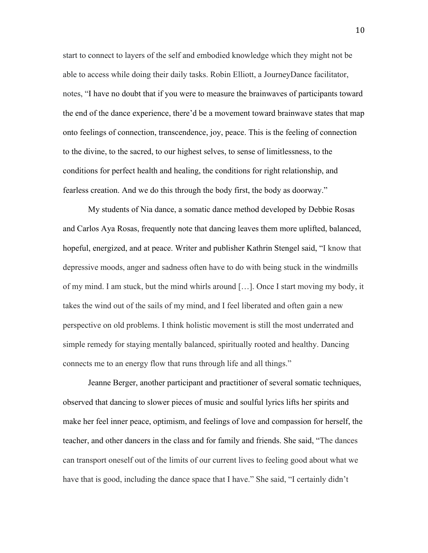start to connect to layers of the self and embodied knowledge which they might not be able to access while doing their daily tasks. Robin Elliott, a JourneyDance facilitator, notes, "I have no doubt that if you were to measure the brainwaves of participants toward the end of the dance experience, there'd be a movement toward brainwave states that map onto feelings of connection, transcendence, joy, peace. This is the feeling of connection to the divine, to the sacred, to our highest selves, to sense of limitlessness, to the conditions for perfect health and healing, the conditions for right relationship, and fearless creation. And we do this through the body first, the body as doorway."

My students of Nia dance, a somatic dance method developed by Debbie Rosas and Carlos Aya Rosas, frequently note that dancing leaves them more uplifted, balanced, hopeful, energized, and at peace. Writer and publisher Kathrin Stengel said, "I know that depressive moods, anger and sadness often have to do with being stuck in the windmills of my mind. I am stuck, but the mind whirls around […]. Once I start moving my body, it takes the wind out of the sails of my mind, and I feel liberated and often gain a new perspective on old problems. I think holistic movement is still the most underrated and simple remedy for staying mentally balanced, spiritually rooted and healthy. Dancing connects me to an energy flow that runs through life and all things."

Jeanne Berger, another participant and practitioner of several somatic techniques, observed that dancing to slower pieces of music and soulful lyrics lifts her spirits and make her feel inner peace, optimism, and feelings of love and compassion for herself, the teacher, and other dancers in the class and for family and friends. She said, "The dances can transport oneself out of the limits of our current lives to feeling good about what we have that is good, including the dance space that I have." She said, "I certainly didn't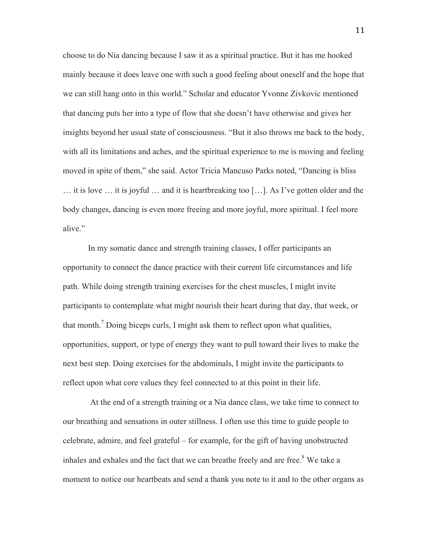choose to do Nia dancing because I saw it as a spiritual practice. But it has me hooked mainly because it does leave one with such a good feeling about oneself and the hope that we can still hang onto in this world." Scholar and educator Yvonne Zivkovic mentioned that dancing puts her into a type of flow that she doesn't have otherwise and gives her insights beyond her usual state of consciousness. "But it also throws me back to the body, with all its limitations and aches, and the spiritual experience to me is moving and feeling moved in spite of them," she said. Actor Tricia Mancuso Parks noted, "Dancing is bliss … it is love … it is joyful … and it is heartbreaking too […]. As I've gotten older and the body changes, dancing is even more freeing and more joyful, more spiritual. I feel more alive."

In my somatic dance and strength training classes, I offer participants an opportunity to connect the dance practice with their current life circumstances and life path. While doing strength training exercises for the chest muscles, I might invite participants to contemplate what might nourish their heart during that day, that week, or that month.<sup>7</sup> Doing biceps curls, I might ask them to reflect upon what qualities, opportunities, support, or type of energy they want to pull toward their lives to make the next best step. Doing exercises for the abdominals, I might invite the participants to reflect upon what core values they feel connected to at this point in their life.

At the end of a strength training or a Nia dance class, we take time to connect to our breathing and sensations in outer stillness. I often use this time to guide people to celebrate, admire, and feel grateful – for example, for the gift of having unobstructed inhales and exhales and the fact that we can breathe freely and are free.<sup>8</sup> We take a moment to notice our heartbeats and send a thank you note to it and to the other organs as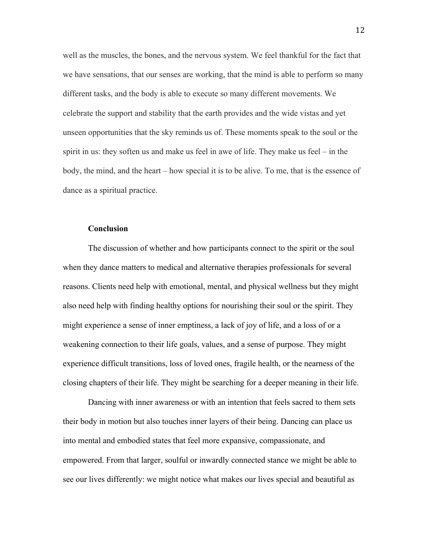well as the muscles, the bones, and the nervous system. We feel thankful for the fact that we have sensations, that our senses are working, that the mind is able to perform so many different tasks, and the body is able to execute so many different movements. We celebrate the support and stability that the earth provides and the wide vistas and yet unseen opportunities that the sky reminds us of. These moments speak to the soul or the spirit in us: they soften us and make us feel in awe of life. They make us feel – in the body, the mind, and the heart – how special it is to be alive. To me, that is the essence of dance as a spiritual practice.

## **Conclusion**

The discussion of whether and how participants connect to the spirit or the soul when they dance matters to medical and alternative therapies professionals for several reasons. Clients need help with emotional, mental, and physical wellness but they might also need help with finding healthy options for nourishing their soul or the spirit. They might experience a sense of inner emptiness, a lack of joy of life, and a loss of or a weakening connection to their life goals, values, and a sense of purpose. They might experience difficult transitions, loss of loved ones, fragile health, or the nearness of the closing chapters of their life. They might be searching for a deeper meaning in their life.

Dancing with inner awareness or with an intention that feels sacred to them sets their body in motion but also touches inner layers of their being. Dancing can place us into mental and embodied states that feel more expansive, compassionate, and empowered. From that larger, soulful or inwardly connected stance we might be able to see our lives differently: we might notice what makes our lives special and beautiful as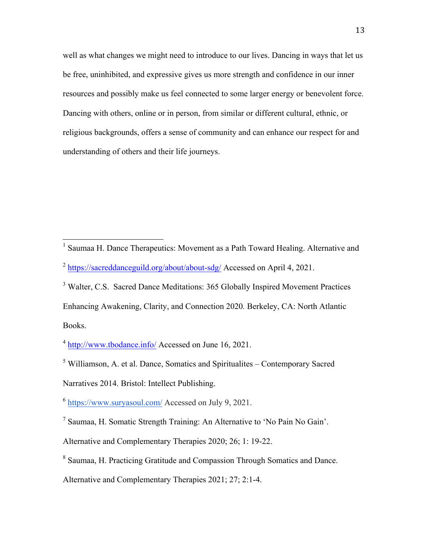well as what changes we might need to introduce to our lives. Dancing in ways that let us be free, uninhibited, and expressive gives us more strength and confidence in our inner resources and possibly make us feel connected to some larger energy or benevolent force. Dancing with others, online or in person, from similar or different cultural, ethnic, or religious backgrounds, offers a sense of community and can enhance our respect for and understanding of others and their life journeys.

<sup>5</sup> Williamson, A. et al. Dance, Somatics and Spiritualites – Contemporary Sacred

Narratives 2014. Bristol: Intellect Publishing.

<sup>6</sup> https://www.suryasoul.com/ Accessed on July 9, 2021.

<sup>7</sup> Saumaa, H. Somatic Strength Training: An Alternative to 'No Pain No Gain'.

Alternative and Complementary Therapies 2020; 26; 1: 19-22.

<sup>8</sup> Saumaa, H. Practicing Gratitude and Compassion Through Somatics and Dance.

Alternative and Complementary Therapies 2021; 27; 2:1-4.

 <sup>1</sup> Saumaa H. Dance Therapeutics: Movement as a Path Toward Healing. Alternative and <sup>2</sup> https://sacreddanceguild.org/about/about-sdg/ Accessed on April 4, 2021.

<sup>&</sup>lt;sup>3</sup> Walter, C.S. Sacred Dance Meditations: 365 Globally Inspired Movement Practices Enhancing Awakening, Clarity, and Connection 2020*.* Berkeley, CA: North Atlantic Books.

<sup>4</sup> http://www.tbodance.info/ Accessed on June 16, 2021.